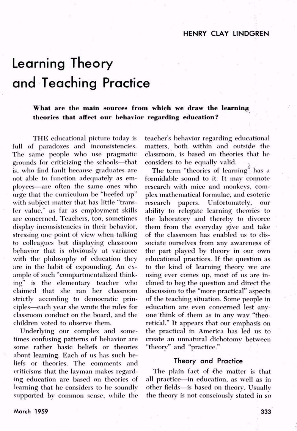## Learning Theory and Teaching Practice

**What are the main sources from which we draw the learning theories that affect our behavior regarding education?**

THE educational picture today is full of paradoxes and inconsistencies. The same people who use pragmaticgrounds for criticizing the schools-that is, who find fault because graduates are not able to function adequately as em ployees-are often the same ones who urge that the curriculum be "beefed up" with subject matter that has little "trans fer value," as far as employment skills are concerned. Teachers, too, sometimes display inconsistencies in their behavior, stressing one point of view when talking to colleagues but displaying classroom behavior that is obviously at variance with the philosophy of education they are in the habit of expounding. An ex ample of such "compartmentalized think ing" is the elementary teacher who claimed that she ran her classroom strictly according to democratic prin ciples—each year she wrote the rules for classroom conduct on the board, and the children voted to observe them.

Underlying our complex and some times confusing patterns of behavior are some rather basic beliefs or theories about learning. Each of us has such be liefs or theories. The comments and criticisms that the layman makes regard ing education are based on theories of learning that he considers to be soundly supported by common sense, while the teacher's behavior regarding educational matters, both within and outside the classroom, is based on theories that he considers to be equally valid.

The term "theories of learning" has a formidable sound to it. It may connote research with mice and monkeys, com plex mathematical formulae, and esoteric research papers. Unfortunately, ability to relegate learning theories to the laboratory and thereby to divorce them from the everyday give and take of the classroom has enabled us to dis sociate ourselves from any awareness of the part played by theory in our own educational practices. If the question as to the kind of learning theory we are using ever comes up, most of us are inclined to beg the question and direct the discussion to the "more practical" aspects of the teaching situation. Some people in education are even concerned lest any one think of them as in any wav "theo retical." It appears that our emphasis on the practical in America has led us to create an unnatural dichotomy between "theory" and "practice."

## **Theory and Practice**

The plain fact of the matter is that all practice-in education, as well as in other fields-is based on theory. Usually the theory is not consciously stated in so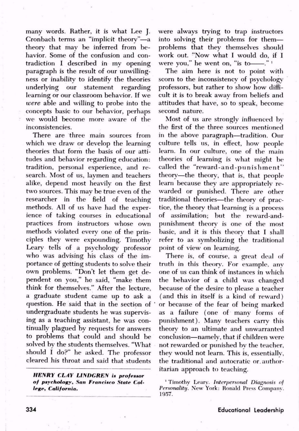many words. Rather, it is what Lee J. Cronbach terms an "implicit theory"-a theory that may be inferred from be havior. Some of the confusion and con tradiction I described in my opening paragraph is the result of our unwilling ness or inability to identify the theories underlying our statement regarding learning or our classroom behavior. If we *were a*ble and willing to probe into the concepts basic to our behavior, perhaps we would become more aware of the inconsistencies.

There are three main sources from which we draw or develop the learning theories that form the basis of our atti tudes and behavior regarding education: tradition, personal experience, and re search. Most of us, laymen and teachers alike, depend most heavily on the first two sources. This may be true even of the researcher in the field of teaching methods. All of us have had the exper ience of taking courses in educational practices from instructors whose own methods violated every one of the prin ciples they were expounding. Timothy Leary tells of a psychology professor who was advising his class of the im portance of getting students to solve their own problems. "Don't let them get de pendent on you," he said, "make them think for themselves." After the lecture, <sup>a</sup>graduate student came up to ask <sup>a</sup> question. He said that in the section of undergraduate students he was supervis ing as a teaching assistant, he was con tinually plagued by requests for answers to problems that could and should be solved by the students themselves. "What should I do?" he asked. The professor cleared his throat and said that students

*HEMtY CLAY LI1\DC,REH i» profetsor of psychology, -***Son F***rancisco Stale Col lege, California.*

were always trying to trap instructors into solving their problems for them problems that they themselves should work out. "Now what I would do, if I were you," he went on, "is to  $\frac{m}{n}$ "

The aim here is not to point with scorn to the inconsistency of psychology professors, but rather to show how diffi cult it is to break away from beliefs and attitudes that have, so to speak, become second nature.

Most of us are strongly influenced by the first of the three sources mentioned in the above paragraph-tradition. Our culture tells us, in effect, how people learn. In our culture, one of the main theories of learning is what might be called the "reward-and-punishment" theory—the theory, that is, that people learn because they are appropriately re warded or punished. There are other traditional theories-the theory of practice, the theory that learning is a process of assimilation; but the reward-andpunishment theory is one of the most basic, and it is this theory that I shall refer to as symbolizing the traditional point of view on learning.

There is, of course, a great deal of truth in this theory. For example, any one of us can think of instances in which the behavior of a child was changed because of the desire to please a teacher (and this in itself is a kind of reward) <sup>1</sup>or because of the fear of being marked as a failure (one of many forms of punishment). Many teachers carry this theory to an ultimate and unwarranted conclusion-namely, that if children were not rewarded or punished by the teacher, they would not learn. This is, essentially, the traditional and autocratic or. author itarian approach to teaching.

<sup>1</sup>Timothy Leary. I*nterpersonal Diagnosis of Personality. N*ew York: Ronald Press Company. 1957.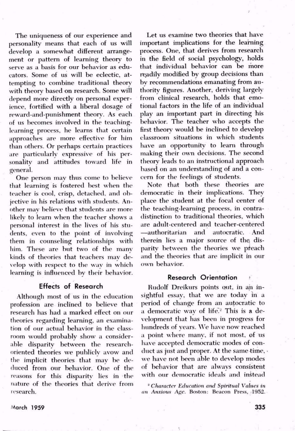The uniqueness of our experience and personality means that each of us will develop a somewhat different arrange ment or pattern of learning theory to serve as <sup>a</sup>basis for our behavior as edu cators. Some of us will be eclectic, at tempting to combine traditional theory with theory based on research. Some will depend more directly on personal exper ience, fortified with a liberal dosage of reward-and-punishment theory. As each of us becomes involved in the teachinglearning process, he learns that certain approaches are more effective for him than others. Or perhaps certain practices are particularly expressive of his per sonality and attitudes toward life in general.

One person may thus come to believe that learning is fostered best when the teacher is cool, crisp, detached, and ob jective in his relations with students. An other may believe that students are more likely to learn when the teacher shows <sup>a</sup> personal interest in the lives of his stu dents, even to the point of involving them in counseling relationships with him. These are but two of the many kinds of theories that teachers may de velop with respect to the way in which learning is influenced by their behavior.

## Effects of Research

Although most of us in the education profession are inclined to believe that research has had a marked effect on our theories regarding learning, an examina tion of our actual behavior in the class room would probably show a consider able disparity between the researchoriented theories we publicly avow and the implicit theories that may be de duced from our behavior. One of the reasons for this disparity lies in the nature of the theories that derive from research.

Let us examine two theories that have important implications for the learning process. One, that derives from research in the field of social psychology, holds that individual behavior can be more readily modified by group decisions than by recommendations emanating from au thority figures. Another, deriving largely from clinical research, holds that emo tional factors in the life of an individual play an important part in directing his behavior. The teacher who accepts the first theory would be inclined to develop classroom situations in which students have an opportunity to learn through making their own decisions. The second theory leads to an instructional approach based on an understanding of and a con cern for the feelings of students.

Note that both these theories are democratic in their implications. They place the student at the focal center of the teaching-learning process, in contra distinction to traditional theories, which are adult-centered and teacher-centered authoritarian and autocratic. And therein lies a major source of the, dis parity between the theories we pfeach and the theories that are implicit in our own behavior.

## **Research Orientation ?**

Rudolf Dreikurs points out, in an insightful essay, that we are today in <sup>a</sup> period of change from an autocratic to a democratic way of life.<sup>2</sup> This is a development that has been in progress for hundreds of years. We have now reached a point where many, if not most, of us have accepted democratic modes of con duct as just and proper. At the same time, . we have not been able to develop modes of behavior that are always consistent with our democratic ideals and instead

2 C*haracter Education and Spiritual Values in an Anxious Age. B*oston: Beacon Press, 1952.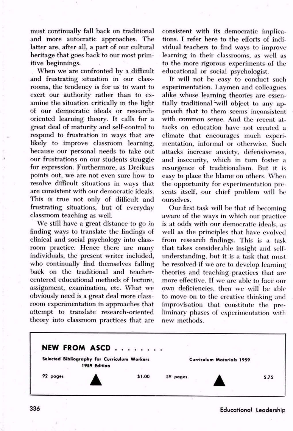**must c**ontinually fall back on traditional and more autocratic approaches. The latter are, after all, a part of our cultural heritage that goes back to our most prim itive beginnings.

When we are confronted by a difficult and frustrating situation in our class rooms, the tendency is for us to want to exert our authority rather than to ex amine the situation critically in the light of our democratic ideals or researchoriented learning theory. It calls for <sup>a</sup> great deal of maturity and self-control to respond to frustration in ways that are likely to improve classroom learning, because our personal needs to take out our frustrations on our students struggle for expression. Furthermore, as Dreikurs points out, we are not even sure how to resolve difficult situations in ways that are consistent with our democratic ideals. This is true not only of difficult and frustrating situations, but of everyday classroom teaching as well.

We still have a great distance to go in finding ways to translate the findings of clinical and social psychology into class room practice. Hence there are many individuals, the present writer included, who continually find themselves falling back on the traditional and teachercentered educational methods of lecture, assignment, examination, etc. What we obviously need is a great deal more class room experimentation in approaches that attempt to translate research-oriented theory into classroom practices that are consistent with its democratic implica tions. I refer here to the efforts of indi vidual teachers to find ways to improve learning in their classrooms, as well as to the more rigorous experiments of the educational or social psychologist.

It will not be easy to conduct such experimentation. Laymen and colleagues alike whose learning theories are essen tially traditional "will object to any ap proach that to them seems inconsistent with common sense. And the recent at tacks on education have not created <sup>a</sup> climate that encourages much exper<sup>i</sup> mentation, informal or otherwise. Such attacks increase anxiety, defensiveness, and insecurity, which in turn foster <sup>a</sup> resurgence of traditionalism. But it is easy to place the blame on others. When the opportunity for experimentation pre sents itself, onr chief problem will be ourselves.

Our first task will be that of becoming aware of the ways in which our practice is at odds with our democratic ideals, as well as the principles that have evolved from research findings. This is a task that takes considerable insight and selfunderstanding, but it is a task that must be resolved if we are to develop learning theories and teaching practices that are more effective. If we are able to face our own deficiencies, then we will be able to move on to the creative thinking and improvisation that constitute the pre liminary phases of experimentation with new methods.



<sup>336</sup> **Educational Leadership**